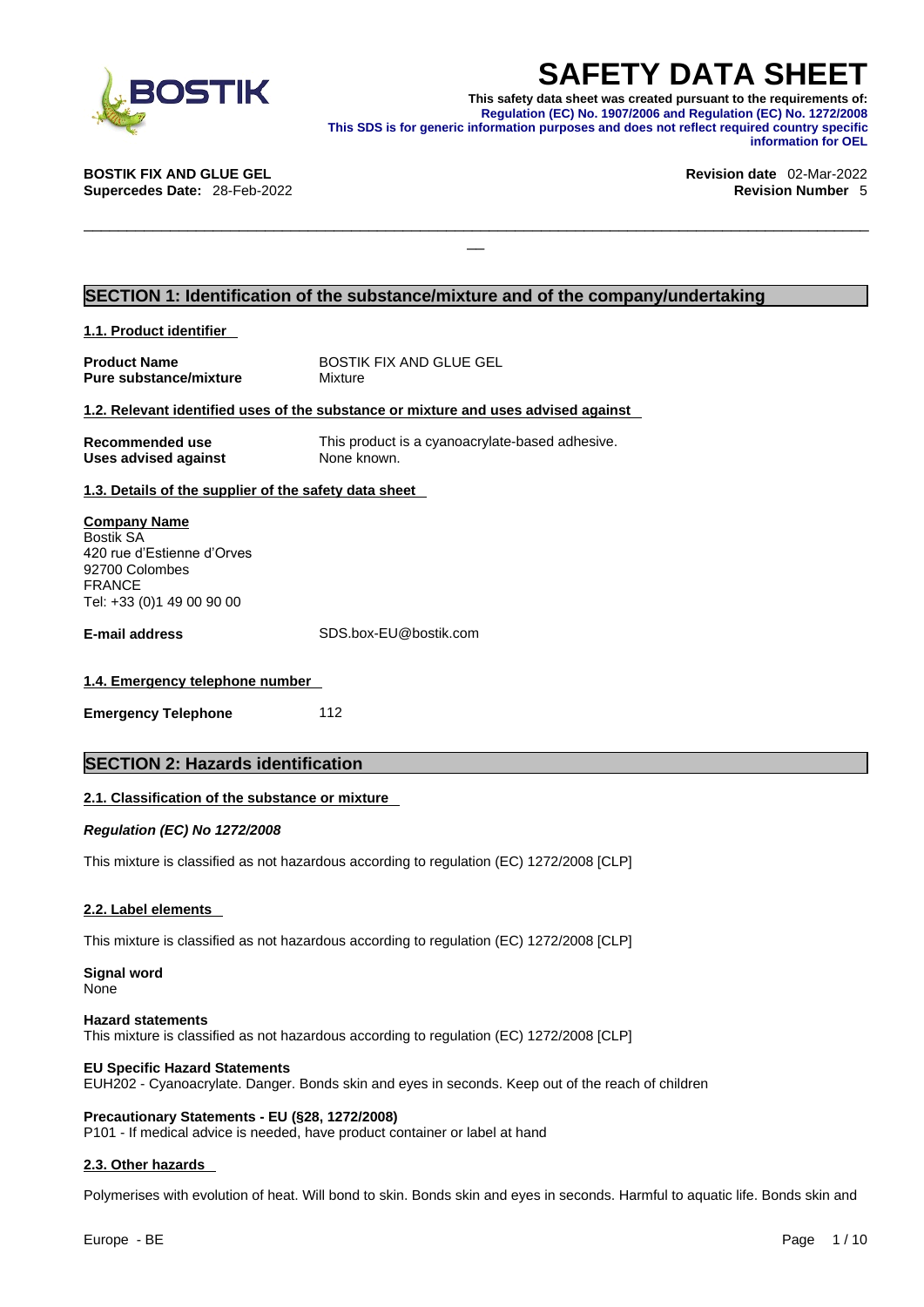

**SAFETY DATA SHEET**<br>This safety data sheet was created pursuant to the requirements of:<br>Regulation (EC) No. 1907/2006 and Regulation (EC) No. 1272/2008<br>information purposes and does not reflect required country specific<br>in **This safety data sheet was created pursuant to the requirements of: Regulation (EC) No. 1907/2006 and Regulation (EC) No. 1272/2008 This SDS is for generic information purposes and does not reflect required country specific information for OEL** 

 $\Box$ 

**BOSTIK FIX AND GLUE GEL Revision date** 02-Mar-2022

**Supercedes Date:** 28-Feb-2022 **Revision Number** 5

# **SECTION 1: Identification of the substance/mixture and of the company/undertaking**

| 1.1. Product identifier |  |
|-------------------------|--|
|-------------------------|--|

| <b>Product Name</b>           | <b>BOSTIK FIX AND GLUE GEL</b> |
|-------------------------------|--------------------------------|
| <b>Pure substance/mixture</b> | Mixture                        |

## **1.2. Relevant identified uses of the substance or mixture and uses advised against**

| Recommended use             | This product is a cyanoacrylate-based adhesive. |
|-----------------------------|-------------------------------------------------|
| <b>Uses advised against</b> | None known.                                     |

**1.3. Details of the supplier of the safety data sheet**

| <b>Company Name</b><br><b>Bostik SA</b><br>420 rue d'Estienne d'Orves<br>92700 Colombes<br><b>FRANCE</b><br>Tel: +33 (0)1 49 00 90 00 |                                                                                          |
|---------------------------------------------------------------------------------------------------------------------------------------|------------------------------------------------------------------------------------------|
| <b>E-mail address</b>                                                                                                                 | SDS.box-EU@bostik.com                                                                    |
| 1.4. Emergency telephone number<br><b>Emergency Telephone</b>                                                                         | 112                                                                                      |
| <b>SECTION 2: Hazards identification</b>                                                                                              |                                                                                          |
| 2.1. Classification of the substance or mixture<br>Regulation (EC) No 1272/2008                                                       | This mixture is classified as not hazardous according to regulation (EC) 1272/2008 [CLP] |

## **2.2. Label elements**

This mixture is classified as not hazardous according to regulation (EC) 1272/2008 [CLP]

**Signal word** None

**Hazard statements** This mixture is classified as not hazardous according to regulation (EC) 1272/2008 [CLP]

## **EU Specific Hazard Statements**

EUH202 - Cyanoacrylate. Danger. Bonds skin and eyes in seconds. Keep out of the reach of children

**Precautionary Statements - EU (§28, 1272/2008)** P101 - If medical advice is needed, have product container or label at hand

## **2.3. Other hazards**

Polymerises with evolution of heat. Will bond to skin. Bonds skin and eyes in seconds. Harmful to aquatic life. Bonds skin and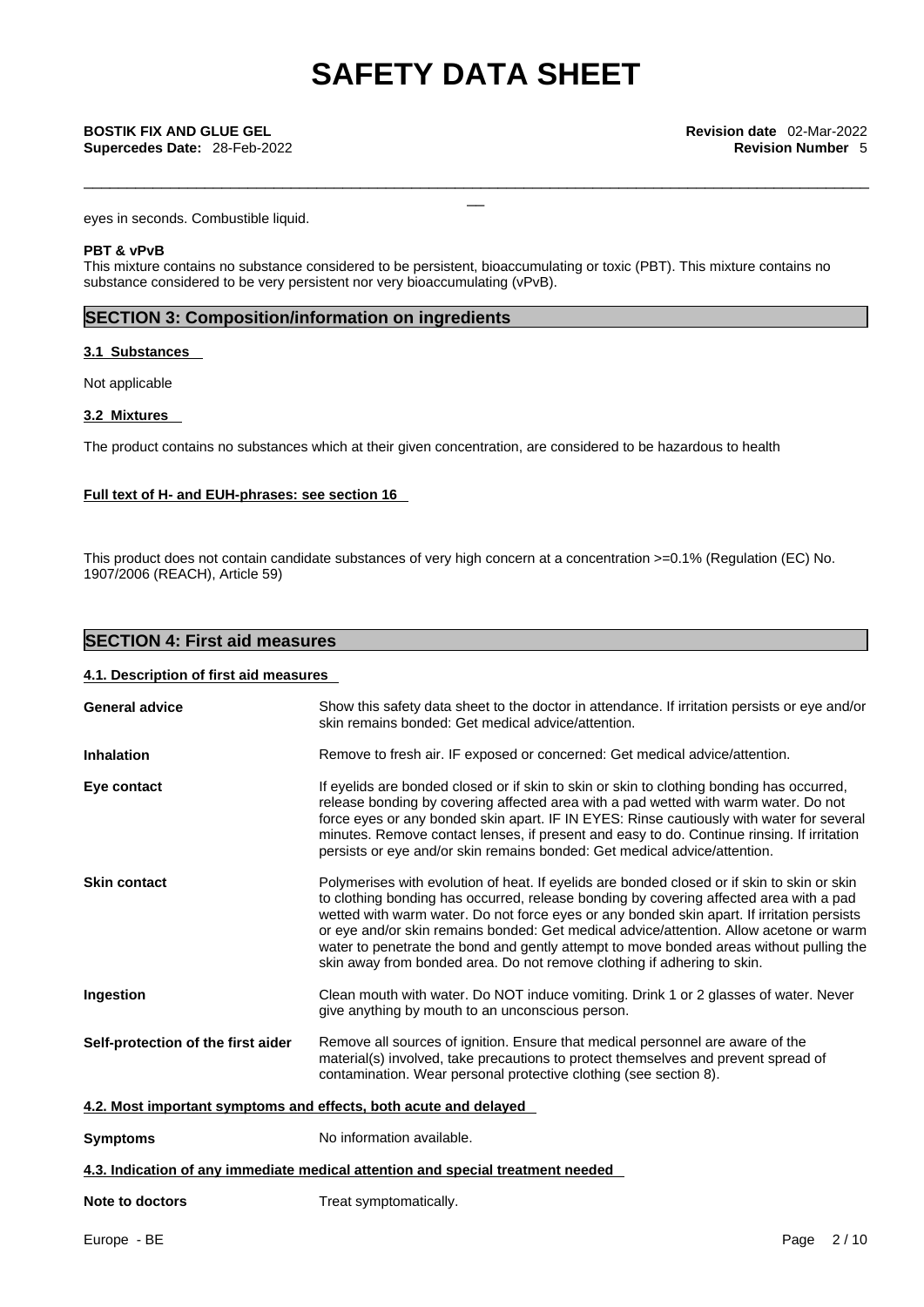\_\_\_\_\_\_\_\_\_\_\_\_\_\_\_\_\_\_\_\_\_\_\_\_\_\_\_\_\_\_\_\_\_\_\_\_\_\_\_\_\_\_\_\_\_\_\_\_\_\_\_\_\_\_\_\_\_\_\_\_\_\_\_\_\_\_\_\_\_\_\_\_\_\_\_\_\_\_\_\_\_\_\_\_\_\_\_\_\_\_\_

**Supercedes Date:** 28-Feb-2022 **Revision Number** 5

eyes in seconds. Combustible liquid.

## **PBT & vPvB**

This mixture contains no substance considered to be persistent, bioaccumulating or toxic (PBT). This mixture contains no substance considered to be very persistent nor very bioaccumulating (vPvB).

# **SECTION 3: Composition/information on ingredients**

## **3.1 Substances**

Not applicable

## **3.2 Mixtures**

The product contains no substances which at their given concentration, are considered to be hazardous to health

## **Full text of H- and EUH-phrases: see section 16**

This product does not contain candidate substances of very high concern at a concentration >=0.1% (Regulation (EC) No. 1907/2006 (REACH), Article 59)

# **SECTION 4: First aid measures**

## **4.1. Description of first aid measures**

| <b>General advice</b>              | Show this safety data sheet to the doctor in attendance. If irritation persists or eye and/or<br>skin remains bonded: Get medical advice/attention.                                                                                                                                                                                                                                                                                                                                                                                                 |
|------------------------------------|-----------------------------------------------------------------------------------------------------------------------------------------------------------------------------------------------------------------------------------------------------------------------------------------------------------------------------------------------------------------------------------------------------------------------------------------------------------------------------------------------------------------------------------------------------|
| <b>Inhalation</b>                  | Remove to fresh air. IF exposed or concerned: Get medical advice/attention.                                                                                                                                                                                                                                                                                                                                                                                                                                                                         |
| Eye contact                        | If eyelids are bonded closed or if skin to skin or skin to clothing bonding has occurred,<br>release bonding by covering affected area with a pad wetted with warm water. Do not<br>force eyes or any bonded skin apart. IF IN EYES: Rinse cautiously with water for several<br>minutes. Remove contact lenses, if present and easy to do. Continue rinsing. If irritation<br>persists or eye and/or skin remains bonded: Get medical advice/attention.                                                                                             |
| <b>Skin contact</b>                | Polymerises with evolution of heat. If eyelids are bonded closed or if skin to skin or skin<br>to clothing bonding has occurred, release bonding by covering affected area with a pad<br>wetted with warm water. Do not force eyes or any bonded skin apart. If irritation persists<br>or eye and/or skin remains bonded: Get medical advice/attention. Allow acetone or warm<br>water to penetrate the bond and gently attempt to move bonded areas without pulling the<br>skin away from bonded area. Do not remove clothing if adhering to skin. |
| Ingestion                          | Clean mouth with water. Do NOT induce vomiting. Drink 1 or 2 glasses of water. Never<br>give anything by mouth to an unconscious person.                                                                                                                                                                                                                                                                                                                                                                                                            |
| Self-protection of the first aider | Remove all sources of ignition. Ensure that medical personnel are aware of the<br>material(s) involved, take precautions to protect themselves and prevent spread of<br>contamination. Wear personal protective clothing (see section 8).                                                                                                                                                                                                                                                                                                           |
|                                    | 4.2. Most important symptoms and effects, both acute and delayed                                                                                                                                                                                                                                                                                                                                                                                                                                                                                    |
| <b>Symptoms</b>                    | No information available.                                                                                                                                                                                                                                                                                                                                                                                                                                                                                                                           |
|                                    | 4.3. Indication of any immediate medical attention and special treatment needed                                                                                                                                                                                                                                                                                                                                                                                                                                                                     |
| Note to doctors                    | Treat symptomatically.                                                                                                                                                                                                                                                                                                                                                                                                                                                                                                                              |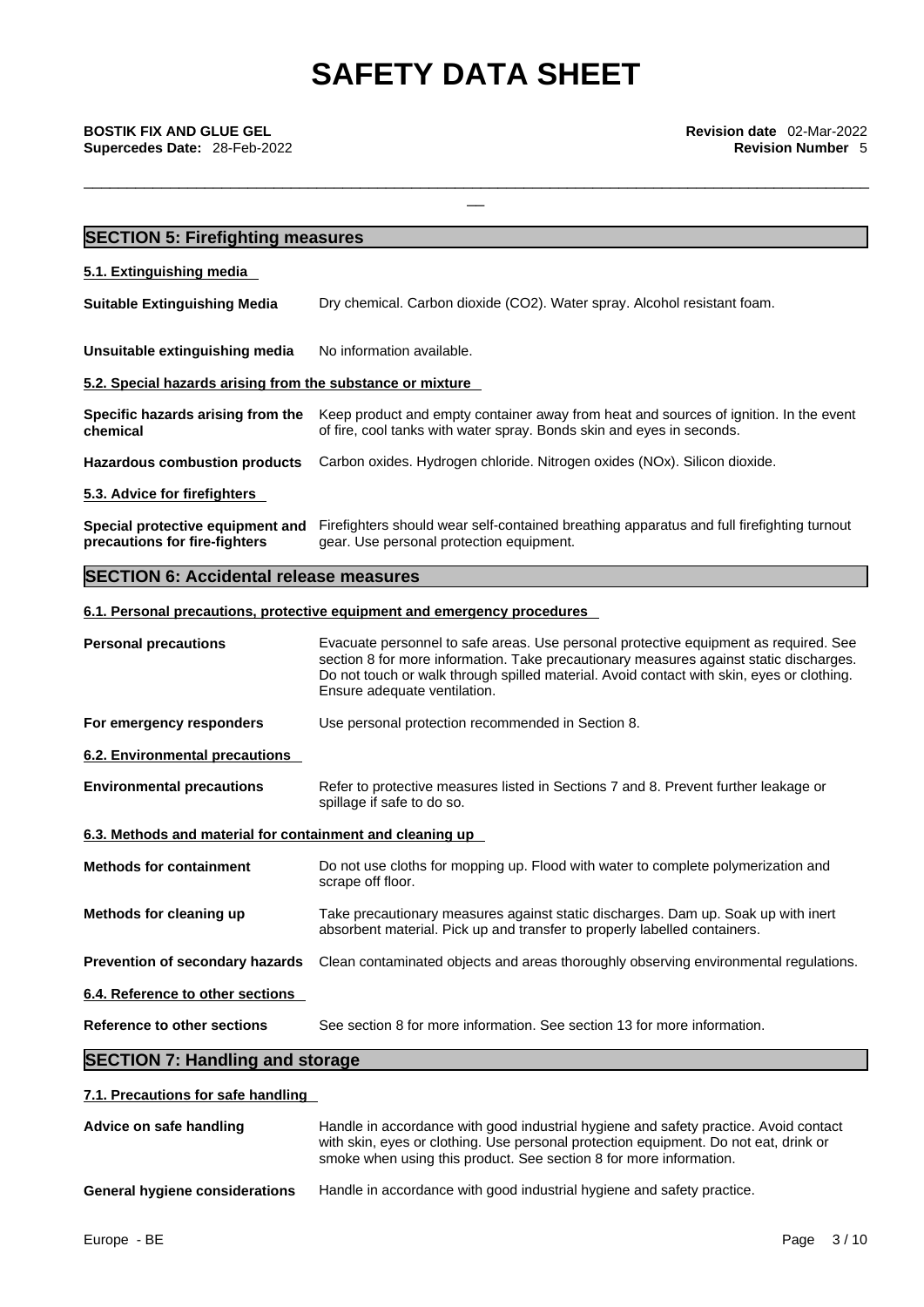\_\_\_\_\_\_\_\_\_\_\_\_\_\_\_\_\_\_\_\_\_\_\_\_\_\_\_\_\_\_\_\_\_\_\_\_\_\_\_\_\_\_\_\_\_\_\_\_\_\_\_\_\_\_\_\_\_\_\_\_\_\_\_\_\_\_\_\_\_\_\_\_\_\_\_\_\_\_\_\_\_\_\_\_\_\_\_\_\_\_\_

| <b>SECTION 5: Firefighting measures</b>                    |                                                                                                                                                                                                                                                                                                             |  |  |  |
|------------------------------------------------------------|-------------------------------------------------------------------------------------------------------------------------------------------------------------------------------------------------------------------------------------------------------------------------------------------------------------|--|--|--|
| 5.1. Extinguishing media                                   |                                                                                                                                                                                                                                                                                                             |  |  |  |
| <b>Suitable Extinguishing Media</b>                        | Dry chemical. Carbon dioxide (CO2). Water spray. Alcohol resistant foam.                                                                                                                                                                                                                                    |  |  |  |
| Unsuitable extinguishing media                             | No information available.                                                                                                                                                                                                                                                                                   |  |  |  |
| 5.2. Special hazards arising from the substance or mixture |                                                                                                                                                                                                                                                                                                             |  |  |  |
| Specific hazards arising from the<br>chemical              | Keep product and empty container away from heat and sources of ignition. In the event<br>of fire, cool tanks with water spray. Bonds skin and eyes in seconds.                                                                                                                                              |  |  |  |
| <b>Hazardous combustion products</b>                       | Carbon oxides. Hydrogen chloride. Nitrogen oxides (NOx). Silicon dioxide.                                                                                                                                                                                                                                   |  |  |  |
| 5.3. Advice for firefighters                               |                                                                                                                                                                                                                                                                                                             |  |  |  |
| precautions for fire-fighters                              | Special protective equipment and Firefighters should wear self-contained breathing apparatus and full firefighting turnout<br>gear. Use personal protection equipment.                                                                                                                                      |  |  |  |
| <b>SECTION 6: Accidental release measures</b>              |                                                                                                                                                                                                                                                                                                             |  |  |  |
|                                                            | 6.1. Personal precautions, protective equipment and emergency procedures                                                                                                                                                                                                                                    |  |  |  |
| <b>Personal precautions</b>                                | Evacuate personnel to safe areas. Use personal protective equipment as required. See<br>section 8 for more information. Take precautionary measures against static discharges.<br>Do not touch or walk through spilled material. Avoid contact with skin, eyes or clothing.<br>Ensure adequate ventilation. |  |  |  |
| For emergency responders                                   | Use personal protection recommended in Section 8.                                                                                                                                                                                                                                                           |  |  |  |
| 6.2. Environmental precautions                             |                                                                                                                                                                                                                                                                                                             |  |  |  |
| <b>Environmental precautions</b>                           | Refer to protective measures listed in Sections 7 and 8. Prevent further leakage or<br>spillage if safe to do so.                                                                                                                                                                                           |  |  |  |
| 6.3. Methods and material for containment and cleaning up  |                                                                                                                                                                                                                                                                                                             |  |  |  |
| <b>Methods for containment</b>                             | Do not use cloths for mopping up. Flood with water to complete polymerization and<br>scrape off floor.                                                                                                                                                                                                      |  |  |  |
| Methods for cleaning up                                    | Take precautionary measures against static discharges. Dam up. Soak up with inert<br>absorbent material. Pick up and transfer to properly labelled containers.                                                                                                                                              |  |  |  |
| Prevention of secondary hazards                            | Clean contaminated objects and areas thoroughly observing environmental regulations.                                                                                                                                                                                                                        |  |  |  |
| 6.4. Reference to other sections                           |                                                                                                                                                                                                                                                                                                             |  |  |  |
| <b>Reference to other sections</b>                         | See section 8 for more information. See section 13 for more information.                                                                                                                                                                                                                                    |  |  |  |
| <b>SECTION 7: Handling and storage</b>                     |                                                                                                                                                                                                                                                                                                             |  |  |  |

**7.1. Precautions for safe handling** 

**Advice on safe handling** Handle in accordance with good industrial hygiene and safety practice. Avoid contact with skin, eyes or clothing. Use personal protection equipment. Do not eat, drink or smoke when using this product. See section 8 for more information. **General hygiene considerations** Handle in accordance with good industrial hygiene and safety practice.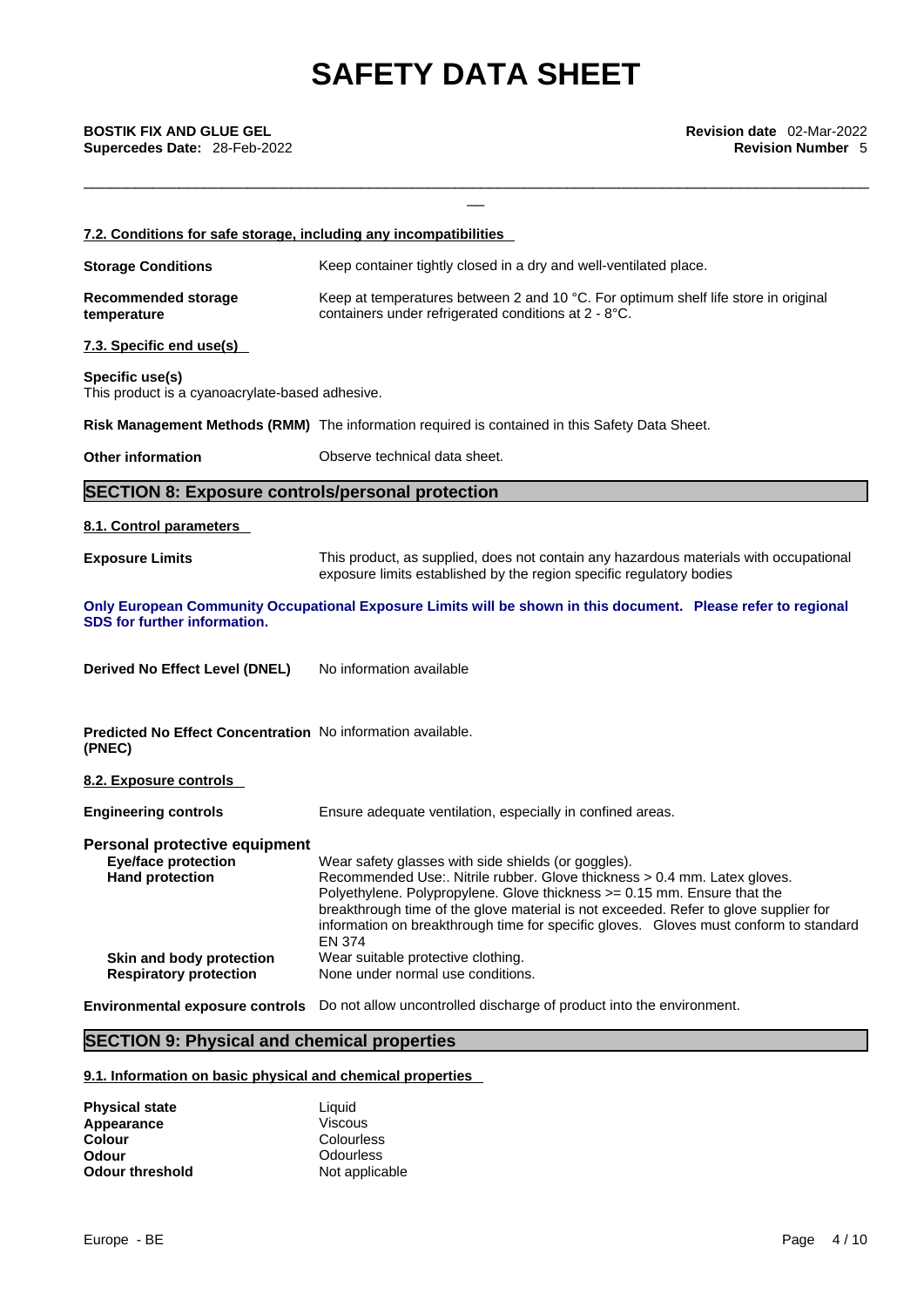\_\_\_\_\_\_\_\_\_\_\_\_\_\_\_\_\_\_\_\_\_\_\_\_\_\_\_\_\_\_\_\_\_\_\_\_\_\_\_\_\_\_\_\_\_\_\_\_\_\_\_\_\_\_\_\_\_\_\_\_\_\_\_\_\_\_\_\_\_\_\_\_\_\_\_\_\_\_\_\_\_\_\_\_\_\_\_\_\_\_\_

| 7.2. Conditions for safe storage, including any incompatibilities                     |                                                                                                                                                                                                                                                                                                                                                                                                                |
|---------------------------------------------------------------------------------------|----------------------------------------------------------------------------------------------------------------------------------------------------------------------------------------------------------------------------------------------------------------------------------------------------------------------------------------------------------------------------------------------------------------|
| <b>Storage Conditions</b>                                                             | Keep container tightly closed in a dry and well-ventilated place.                                                                                                                                                                                                                                                                                                                                              |
| Recommended storage<br>temperature                                                    | Keep at temperatures between 2 and 10 °C. For optimum shelf life store in original<br>containers under refrigerated conditions at 2 - 8°C.                                                                                                                                                                                                                                                                     |
| 7.3. Specific end use(s)                                                              |                                                                                                                                                                                                                                                                                                                                                                                                                |
| Specific use(s)<br>This product is a cyanoacrylate-based adhesive.                    |                                                                                                                                                                                                                                                                                                                                                                                                                |
|                                                                                       | Risk Management Methods (RMM) The information required is contained in this Safety Data Sheet.                                                                                                                                                                                                                                                                                                                 |
| <b>Other information</b>                                                              | Observe technical data sheet.                                                                                                                                                                                                                                                                                                                                                                                  |
| <b>SECTION 8: Exposure controls/personal protection</b>                               |                                                                                                                                                                                                                                                                                                                                                                                                                |
| 8.1. Control parameters                                                               |                                                                                                                                                                                                                                                                                                                                                                                                                |
| <b>Exposure Limits</b>                                                                | This product, as supplied, does not contain any hazardous materials with occupational<br>exposure limits established by the region specific regulatory bodies                                                                                                                                                                                                                                                  |
| <b>SDS for further information.</b>                                                   | Only European Community Occupational Exposure Limits will be shown in this document. Please refer to regional                                                                                                                                                                                                                                                                                                  |
| Derived No Effect Level (DNEL)                                                        | No information available                                                                                                                                                                                                                                                                                                                                                                                       |
| Predicted No Effect Concentration No information available.<br>(PNEC)                 |                                                                                                                                                                                                                                                                                                                                                                                                                |
| 8.2. Exposure controls                                                                |                                                                                                                                                                                                                                                                                                                                                                                                                |
| <b>Engineering controls</b>                                                           | Ensure adequate ventilation, especially in confined areas.                                                                                                                                                                                                                                                                                                                                                     |
| Personal protective equipment<br><b>Eye/face protection</b><br><b>Hand protection</b> | Wear safety glasses with side shields (or goggles).<br>Recommended Use:. Nitrile rubber. Glove thickness > 0.4 mm. Latex gloves.<br>Polyethylene. Polypropylene. Glove thickness >= 0.15 mm. Ensure that the<br>breakthrough time of the glove material is not exceeded. Refer to glove supplier for<br>information on breakthrough time for specific gloves. Gloves must conform to standard<br><b>EN 374</b> |
| Skin and body protection<br><b>Respiratory protection</b>                             | Wear suitable protective clothing.<br>None under normal use conditions.                                                                                                                                                                                                                                                                                                                                        |
|                                                                                       | Environmental exposure controls Do not allow uncontrolled discharge of product into the environment.                                                                                                                                                                                                                                                                                                           |

# **SECTION 9: Physical and chemical properties**

## **9.1. Information on basic physical and chemical properties**

| <b>Physical state</b>  | Liquid           |
|------------------------|------------------|
| Appearance             | <b>Viscous</b>   |
| Colour                 | Colourless       |
| Odour                  | <b>Odourless</b> |
| <b>Odour threshold</b> | Not applicable   |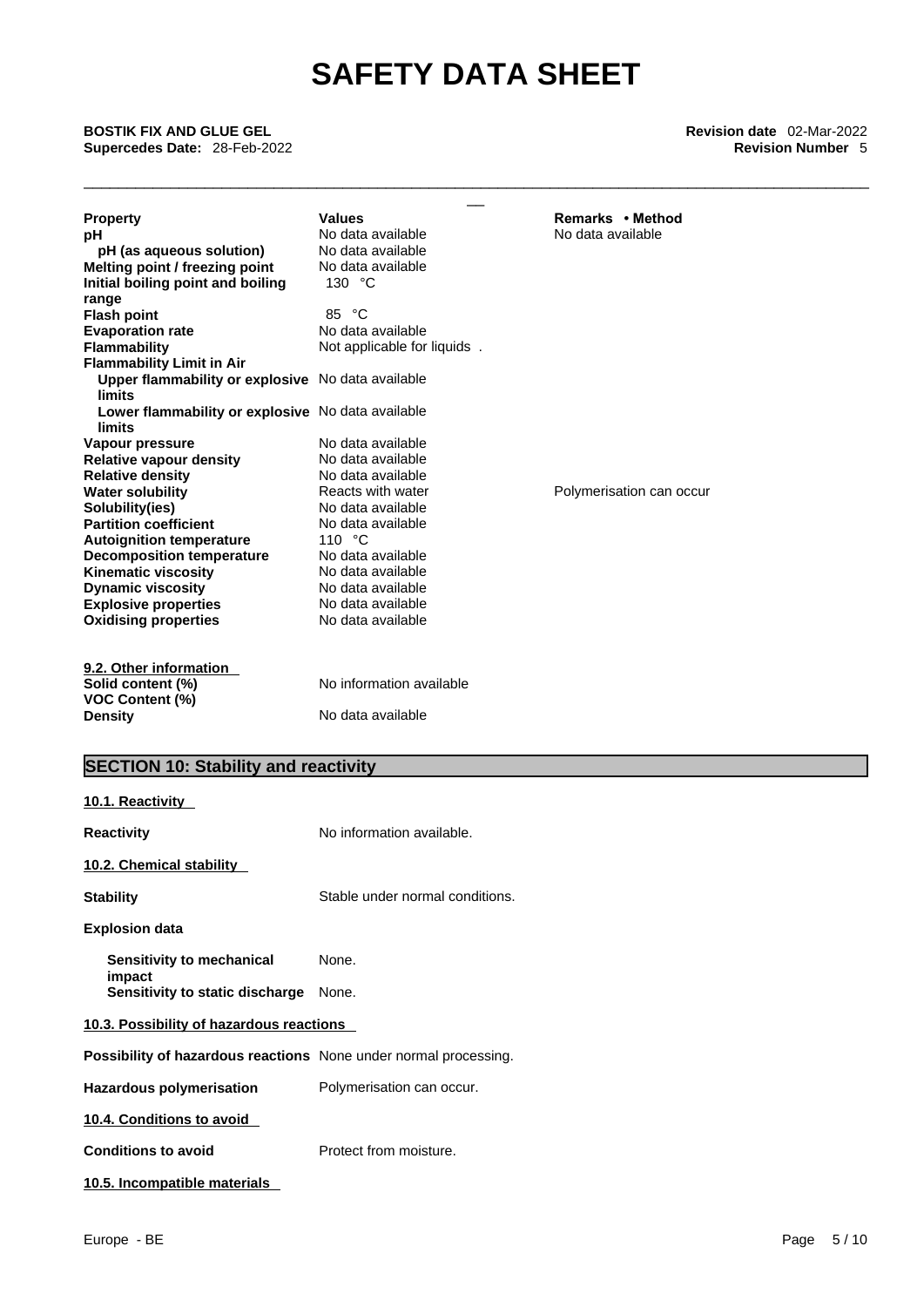\_\_\_\_\_\_\_\_\_\_\_\_\_\_\_\_\_\_\_\_\_\_\_\_\_\_\_\_\_\_\_\_\_\_\_\_\_\_\_\_\_\_\_\_\_\_\_\_\_\_\_\_\_\_\_\_\_\_\_\_\_\_\_\_\_\_\_\_\_\_\_\_\_\_\_\_\_\_\_\_\_\_\_\_\_\_\_\_\_\_\_

\_\_ **BOSTIK FIX AND GLUE GEL Revision date** 02-Mar-2022

**Supercedes Date:** 28-Feb-2022 **Revision Number** 5

| <b>Property</b>                                             | <b>Values</b>               | Remarks • Method         |
|-------------------------------------------------------------|-----------------------------|--------------------------|
| рH                                                          | No data available           | No data available        |
| pH (as aqueous solution)                                    | No data available           |                          |
| Melting point / freezing point                              | No data available           |                          |
| Initial boiling point and boiling                           | 130 $^{\circ}$ C            |                          |
| range                                                       |                             |                          |
| <b>Flash point</b>                                          | 85 °C                       |                          |
| <b>Evaporation rate</b>                                     | No data available           |                          |
| <b>Flammability</b>                                         | Not applicable for liquids. |                          |
| <b>Flammability Limit in Air</b>                            |                             |                          |
| Upper flammability or explosive No data available<br>limits |                             |                          |
| Lower flammability or explosive No data available<br>limits |                             |                          |
| Vapour pressure                                             | No data available           |                          |
| Relative vapour density                                     | No data available           |                          |
| <b>Relative density</b>                                     | No data available           |                          |
| <b>Water solubility</b>                                     | Reacts with water           | Polymerisation can occur |
| Solubility(ies)                                             | No data available           |                          |
| <b>Partition coefficient</b>                                | No data available           |                          |
| <b>Autoignition temperature</b>                             | 110 $°C$                    |                          |
| <b>Decomposition temperature</b>                            | No data available           |                          |
| <b>Kinematic viscosity</b>                                  | No data available           |                          |
| <b>Dynamic viscosity</b>                                    | No data available           |                          |
| <b>Explosive properties</b>                                 | No data available           |                          |
| <b>Oxidising properties</b>                                 | No data available           |                          |
| 9.2. Other information                                      |                             |                          |
| Solid content (%)<br><b>VOC Content (%)</b>                 | No information available    |                          |
| <b>Density</b>                                              | No data available           |                          |

# **SECTION 10: Stability and reactivity**

| <u> 10.1. Reactivity </u>                                               |                                 |
|-------------------------------------------------------------------------|---------------------------------|
| Reactivity                                                              | No information available.       |
| 10.2. Chemical stability                                                |                                 |
| <b>Stability</b>                                                        | Stable under normal conditions. |
| Explosion data                                                          |                                 |
| Sensitivity to mechanical<br>impact                                     | None.                           |
| Sensitivity to static discharge                                         | None.                           |
| 10.3. Possibility of hazardous reactions                                |                                 |
| <b>Possibility of hazardous reactions</b> None under normal processing. |                                 |
| Hazardous polymerisation                                                | Polymerisation can occur.       |
| 10.4. Conditions to avoid                                               |                                 |
| <b>Conditions to avoid</b>                                              | Protect from moisture.          |
| 10.5. Incompatible materials                                            |                                 |
|                                                                         |                                 |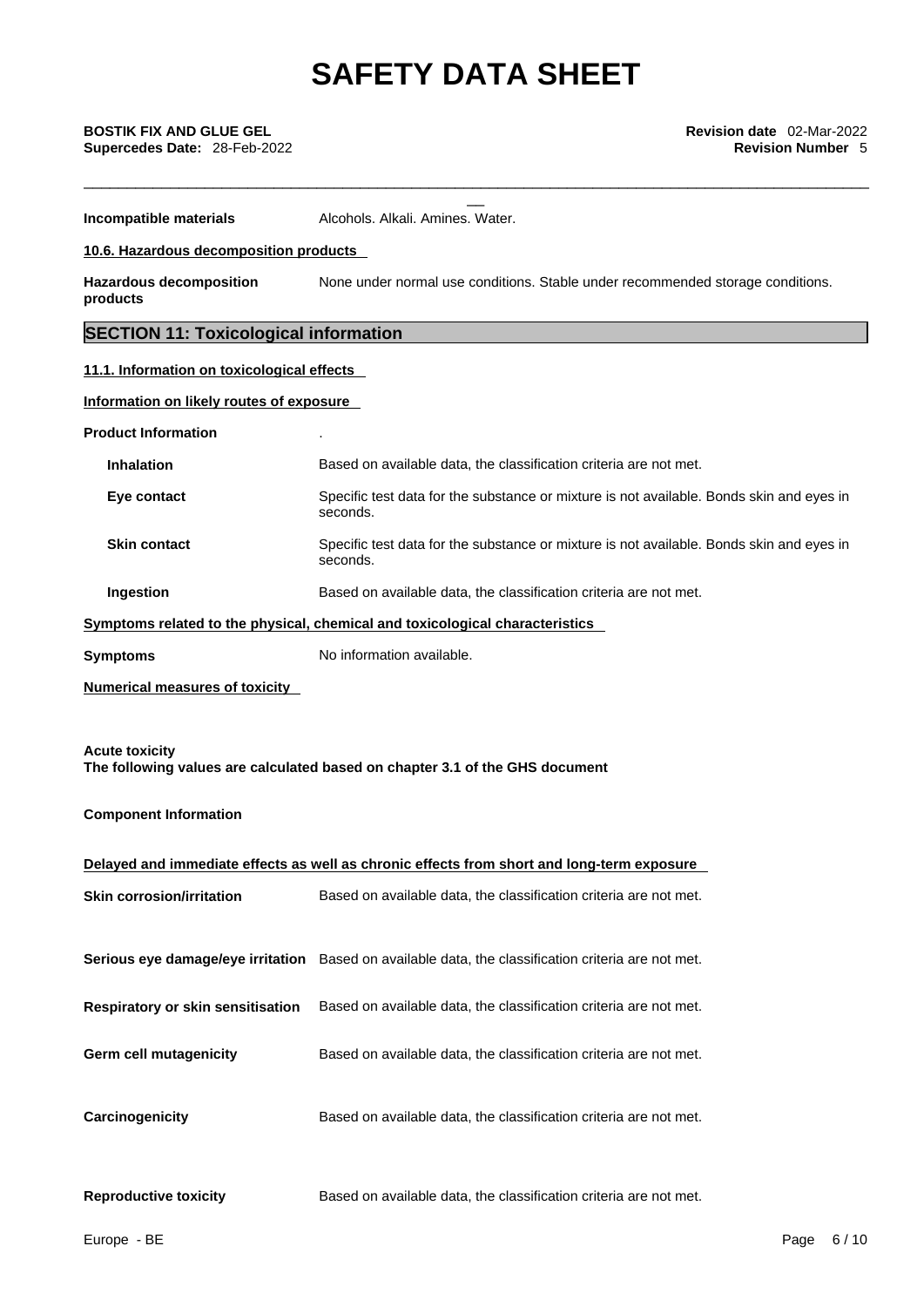\_\_\_\_\_\_\_\_\_\_\_\_\_\_\_\_\_\_\_\_\_\_\_\_\_\_\_\_\_\_\_\_\_\_\_\_\_\_\_\_\_\_\_\_\_\_\_\_\_\_\_\_\_\_\_\_\_\_\_\_\_\_\_\_\_\_\_\_\_\_\_\_\_\_\_\_\_\_\_\_\_\_\_\_\_\_\_\_\_\_\_

\_\_ **BOSTIK FIX AND GLUE GEL Revision date** 02-Mar-2022 **Incompatible materials** Alcohols. Alkali. Amines. Water. **10.6. Hazardous decomposition products Hazardous decomposition products**  None under normal use conditions. Stable under recommended storage conditions. **SECTION 11: Toxicological information 11.1. Information on toxicological effects Information on likely routes of exposure Product Information** . **Inhalation** Based on available data, the classification criteria are not met. **Eye contact** Specific test data for the substance or mixture is not available. Bonds skin and eyes in seconds. **Skin contact** Specific test data for the substance or mixture is not available. Bonds skin and eyes in seconds. **Ingestion Based on available data, the classification criteria are not met. Symptoms** related to the physical, chemical and toxicological characteristics **Symptoms** No information available. **Numerical measures of toxicity Acute toxicity The following values are calculated based on chapter 3.1 of the GHS document Component Information Delayed and immediate effects as well as chronic effects from short and long-term exposure Skin corrosion/irritation** Based on available data, the classification criteria are not met. **Serious eye damage/eye irritation** Based on available data, the classification criteria are not met. **Respiratory or skin sensitisation** Based on available data, the classification criteria are not met. **Germ cell mutagenicity** Based on available data, the classification criteria are not met. **Carcinogenicity** Based on available data, the classification criteria are not met. **Reproductive toxicity** Based on available data, the classification criteria are not met.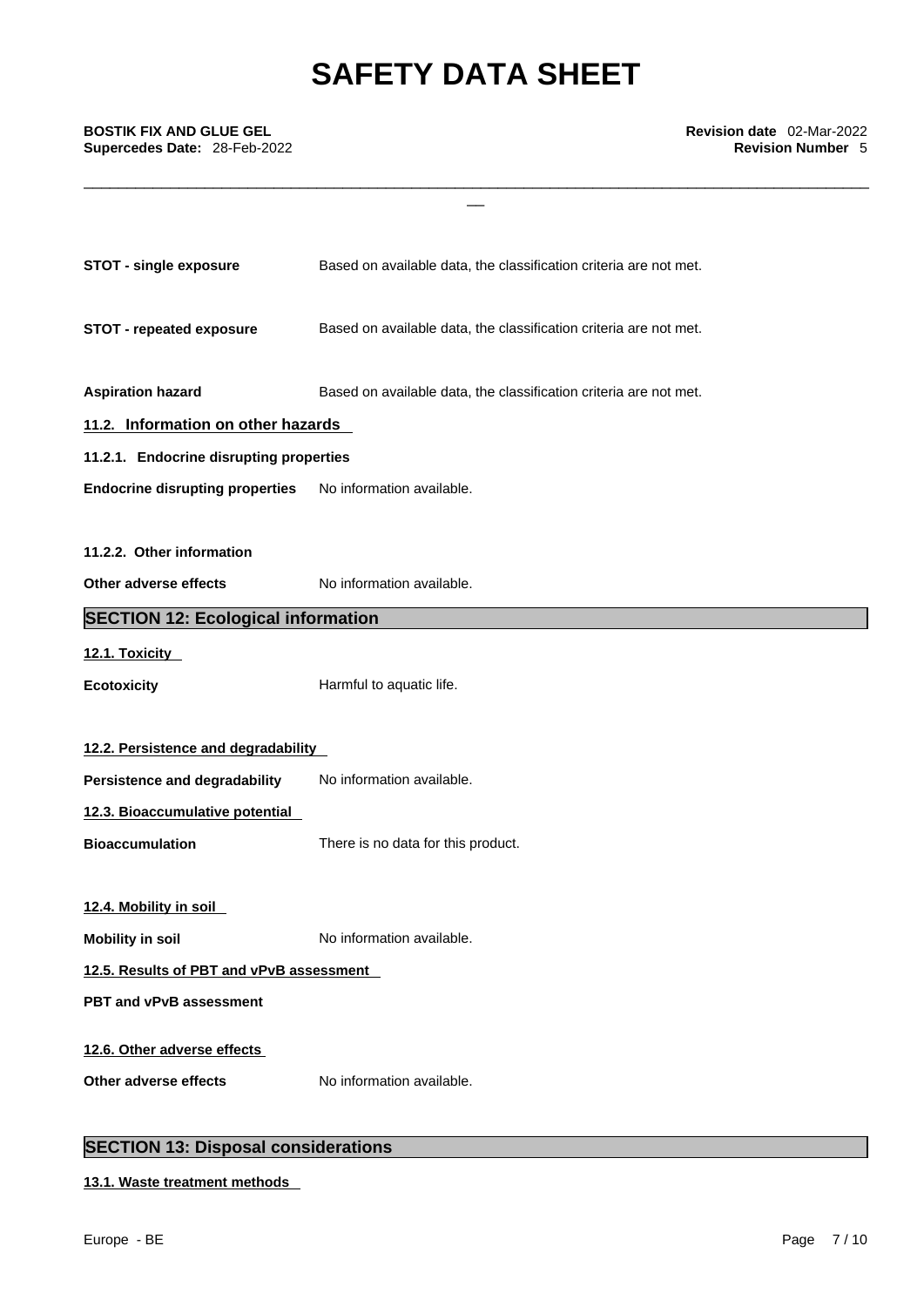\_\_\_\_\_\_\_\_\_\_\_\_\_\_\_\_\_\_\_\_\_\_\_\_\_\_\_\_\_\_\_\_\_\_\_\_\_\_\_\_\_\_\_\_\_\_\_\_\_\_\_\_\_\_\_\_\_\_\_\_\_\_\_\_\_\_\_\_\_\_\_\_\_\_\_\_\_\_\_\_\_\_\_\_\_\_\_\_\_\_\_

| <b>STOT - single exposure</b>             | Based on available data, the classification criteria are not met. |
|-------------------------------------------|-------------------------------------------------------------------|
| <b>STOT - repeated exposure</b>           | Based on available data, the classification criteria are not met. |
| <b>Aspiration hazard</b>                  | Based on available data, the classification criteria are not met. |
| 11.2. Information on other hazards        |                                                                   |
| 11.2.1. Endocrine disrupting properties   |                                                                   |
| <b>Endocrine disrupting properties</b>    | No information available.                                         |
|                                           |                                                                   |
| 11.2.2. Other information                 |                                                                   |
| Other adverse effects                     | No information available.                                         |
| <b>SECTION 12: Ecological information</b> |                                                                   |
| 12.1. Toxicity                            |                                                                   |
| <b>Ecotoxicity</b>                        | Harmful to aquatic life.                                          |
|                                           |                                                                   |
| 12.2. Persistence and degradability       |                                                                   |
| <b>Persistence and degradability</b>      | No information available.                                         |
| 12.3. Bioaccumulative potential           |                                                                   |
| <b>Bioaccumulation</b>                    | There is no data for this product.                                |
|                                           |                                                                   |
| 12.4. Mobility in soil                    |                                                                   |
| <b>Mobility in soil</b>                   | No information available.                                         |
| 12.5. Results of PBT and vPvB assessment  |                                                                   |
| <b>PBT and vPvB assessment</b>            |                                                                   |
| 12.6. Other adverse effects               |                                                                   |
| Other adverse effects                     | No information available.                                         |

# **SECTION 13: Disposal considerations**

**13.1. Waste treatment methods**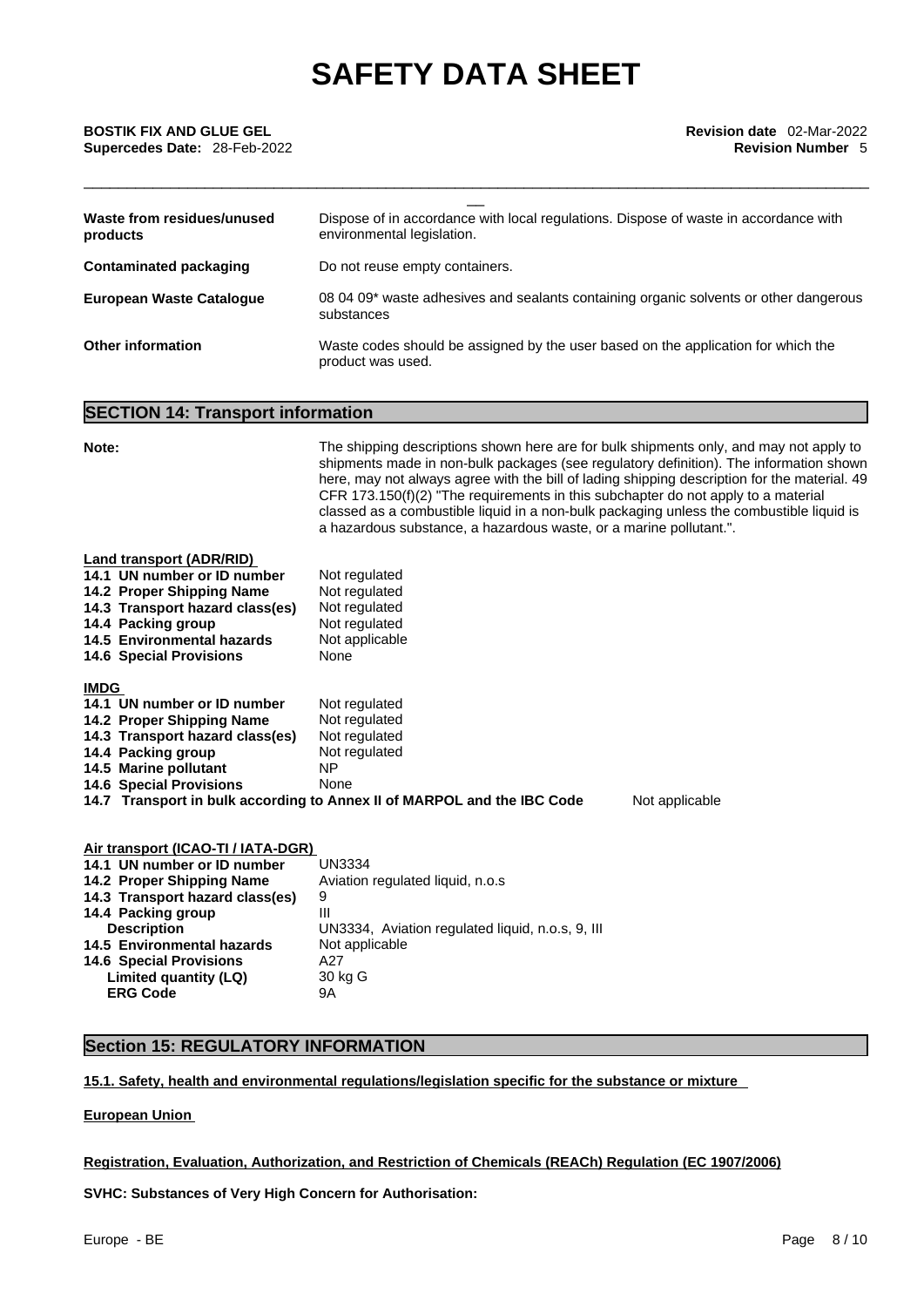\_\_\_\_\_\_\_\_\_\_\_\_\_\_\_\_\_\_\_\_\_\_\_\_\_\_\_\_\_\_\_\_\_\_\_\_\_\_\_\_\_\_\_\_\_\_\_\_\_\_\_\_\_\_\_\_\_\_\_\_\_\_\_\_\_\_\_\_\_\_\_\_\_\_\_\_\_\_\_\_\_\_\_\_\_\_\_\_\_\_\_

| Waste from residues/unused<br>products | Dispose of in accordance with local regulations. Dispose of waste in accordance with<br>environmental legislation. |
|----------------------------------------|--------------------------------------------------------------------------------------------------------------------|
| Contaminated packaging                 | Do not reuse empty containers.                                                                                     |
| <b>European Waste Cataloque</b>        | 08 04 09* waste adhesives and sealants containing organic solvents or other dangerous<br>substances                |
| <b>Other information</b>               | Waste codes should be assigned by the user based on the application for which the<br>product was used.             |

# **SECTION 14: Transport information**

| Not regulated<br>Not regulated<br>Not regulated<br>Not regulated<br>Not applicable<br>None<br>Not regulated<br>Not regulated<br>Not regulated<br>Not regulated<br><b>NP</b><br>None<br>14.7 Transport in bulk according to Annex II of MARPOL and the IBC Code<br>Not applicable<br>Air transport (ICAO-TI / IATA-DGR)<br><b>UN3334</b><br>Aviation regulated liquid, n.o.s<br>9<br>III<br>UN3334, Aviation regulated liquid, n.o.s, 9, III<br><b>Description</b><br>Not applicable<br>A27<br>30 kg G<br>Limited quantity (LQ)<br><b>ERG Code</b><br><b>9A</b> | Note:                                                                                                                                                                                                                       | The shipping descriptions shown here are for bulk shipments only, and may not apply to<br>shipments made in non-bulk packages (see regulatory definition). The information shown<br>here, may not always agree with the bill of lading shipping description for the material. 49<br>CFR 173.150(f)(2) "The requirements in this subchapter do not apply to a material<br>classed as a combustible liquid in a non-bulk packaging unless the combustible liquid is |  |  |
|----------------------------------------------------------------------------------------------------------------------------------------------------------------------------------------------------------------------------------------------------------------------------------------------------------------------------------------------------------------------------------------------------------------------------------------------------------------------------------------------------------------------------------------------------------------|-----------------------------------------------------------------------------------------------------------------------------------------------------------------------------------------------------------------------------|-------------------------------------------------------------------------------------------------------------------------------------------------------------------------------------------------------------------------------------------------------------------------------------------------------------------------------------------------------------------------------------------------------------------------------------------------------------------|--|--|
|                                                                                                                                                                                                                                                                                                                                                                                                                                                                                                                                                                | <b>Land transport (ADR/RID)</b><br>14.1 UN number or ID number<br>14.2 Proper Shipping Name<br>14.3 Transport hazard class(es)<br>14.4 Packing group<br><b>14.5 Environmental hazards</b><br><b>14.6 Special Provisions</b> | a hazardous substance, a hazardous waste, or a marine pollutant.".                                                                                                                                                                                                                                                                                                                                                                                                |  |  |
|                                                                                                                                                                                                                                                                                                                                                                                                                                                                                                                                                                | <b>IMDG</b><br>14.1 UN number or ID number<br>14.2 Proper Shipping Name<br>14.3 Transport hazard class(es)<br>14.4 Packing group<br>14.5 Marine pollutant<br><b>14.6 Special Provisions</b>                                 |                                                                                                                                                                                                                                                                                                                                                                                                                                                                   |  |  |
|                                                                                                                                                                                                                                                                                                                                                                                                                                                                                                                                                                | 14.1 UN number or ID number<br>14.2 Proper Shipping Name<br>14.3 Transport hazard class(es)<br>14.4 Packing group<br>14.5 Environmental hazards<br><b>14.6 Special Provisions</b>                                           |                                                                                                                                                                                                                                                                                                                                                                                                                                                                   |  |  |

# **Section 15: REGULATORY INFORMATION**

**15.1. Safety, health and environmental regulations/legislation specific for the substance or mixture**

**European Union** 

**Registration, Evaluation, Authorization, and Restriction of Chemicals (REACh) Regulation (EC 1907/2006)**

**SVHC: Substances of Very High Concern for Authorisation:**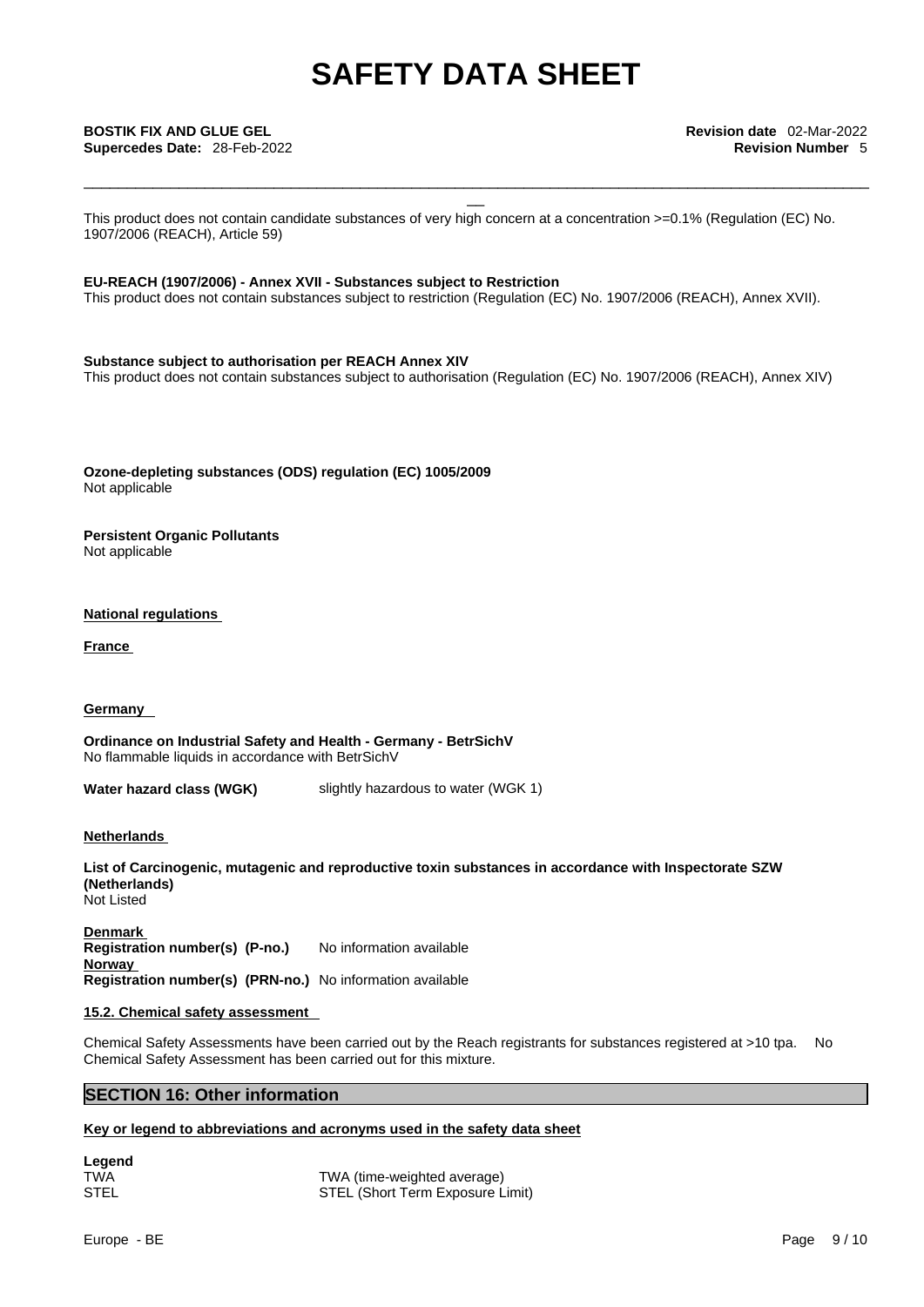\_\_\_\_\_\_\_\_\_\_\_\_\_\_\_\_\_\_\_\_\_\_\_\_\_\_\_\_\_\_\_\_\_\_\_\_\_\_\_\_\_\_\_\_\_\_\_\_\_\_\_\_\_\_\_\_\_\_\_\_\_\_\_\_\_\_\_\_\_\_\_\_\_\_\_\_\_\_\_\_\_\_\_\_\_\_\_\_\_\_\_

This product does not contain candidate substances of very high concern at a concentration  $>=0.1\%$  (Regulation (EC) No. 1907/2006 (REACH), Article 59)

## **EU-REACH (1907/2006) - Annex XVII - Substances subject to Restriction**

This product does not contain substances subject to restriction (Regulation (EC) No. 1907/2006 (REACH), Annex XVII).

**Substance subject to authorisation per REACH Annex XIV** This product does not contain substances subject to authorisation (Regulation (EC) No. 1907/2006 (REACH), Annex XIV)

**Ozone-depleting substances (ODS) regulation (EC) 1005/2009** Not applicable

**Persistent Organic Pollutants** Not applicable

## **National regulations**

**France** 

## **Germany**

**Ordinance on Industrial Safety and Health - Germany - BetrSichV** No flammable liquids in accordance with BetrSichV

**Water hazard class (WGK)** slightly hazardous to water (WGK 1)

#### **Netherlands**

**List of Carcinogenic, mutagenic and reproductive toxin substances in accordance with Inspectorate SZW (Netherlands)** Not Listed

**Denmark Registration number(s) (P-no.)** No information available **Norway Registration number(s) (PRN-no.)** No information available

## **15.2. Chemical safety assessment**

Chemical Safety Assessments have been carried out by the Reach registrants for substances registered at >10 tpa. No Chemical Safety Assessment has been carried out for this mixture.

# **SECTION 16: Other information**

## **Key or legend to abbreviations and acronyms used in the safety data sheet**

**Legend**  TWA (time-weighted average) STEL STEL (Short Term Exposure Limit)